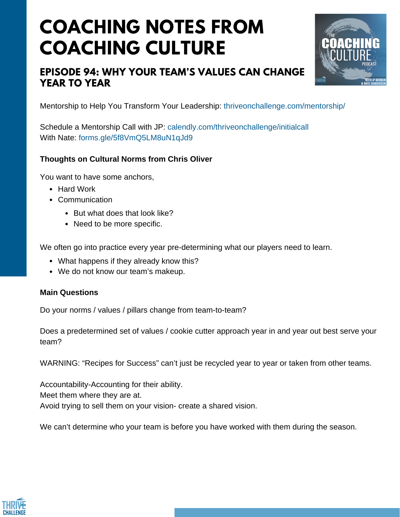# **COACHING NOTES FROM COACHING CULTURE**

### **EPISODE 94: WHY YOUR TEAM'S VALUES CAN CHANGE YEAR TO YEAR**



Mentorship to Help You Transform Your Leadership: <thriveonchallenge.com/mentorship/>

Schedule a Mentorship Call with JP: <calendly.com/thriveonchallenge/initialcall> With Nate: <forms.gle/5f8VmQ5LM8uN1qJd9>

#### **Thoughts on Cultural Norms from Chris Oliver**

You want to have some anchors,

- Hard Work
- Communication
	- But what does that look like?
	- Need to be more specific.

We often go into practice every year pre-determining what our players need to learn.

- What happens if they already know this?
- We do not know our team's makeup.

#### **Main Questions**

Do your norms / values / pillars change from team-to-team?

Does a predetermined set of values / cookie cutter approach year in and year out best serve your team?

WARNING: "Recipes for Success" can't just be recycled year to year or taken from other teams.

Accountability-Accounting for their ability. Meet them where they are at. Avoid trying to sell them on your vision- create a shared vision.

We can't determine who your team is before you have worked with them during the season.